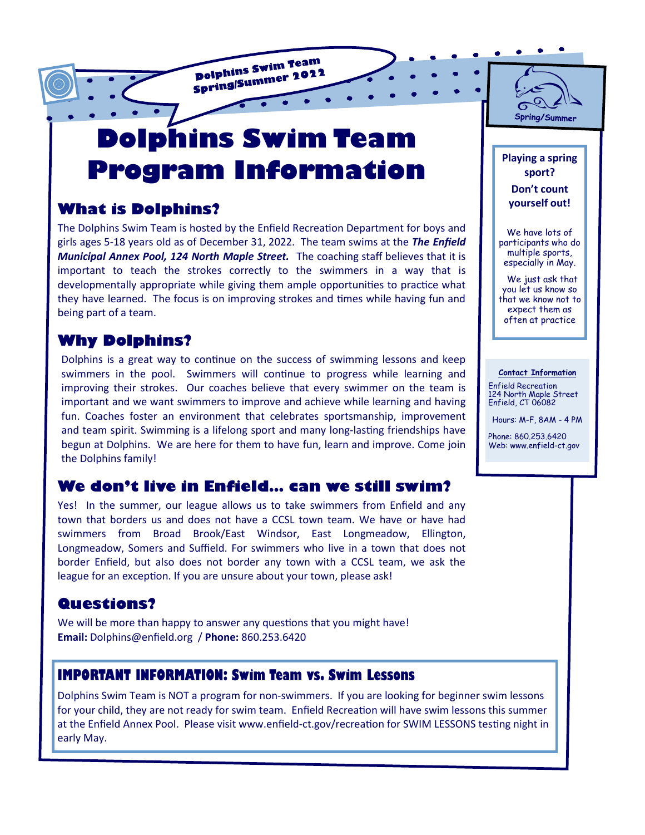**Dolphins Swim Team Polphins Swim Team** 

# **Dolphins Swim Team Program Information**

## **What is Dolphins?**

The Dolphins Swim Team is hosted by the Enfield Recreation Department for boys and girls ages 5-18 years old as of December 31, 2022. The team swims at the *The Enfield Municipal Annex Pool, 124 North Maple Street.* The coaching staff believes that it is important to teach the strokes correctly to the swimmers in a way that is developmentally appropriate while giving them ample opportunities to practice what they have learned. The focus is on improving strokes and times while having fun and being part of a team.

## **Why Dolphins?**

Dolphins is a great way to continue on the success of swimming lessons and keep swimmers in the pool. Swimmers will continue to progress while learning and improving their strokes. Our coaches believe that every swimmer on the team is important and we want swimmers to improve and achieve while learning and having fun. Coaches foster an environment that celebrates sportsmanship, improvement and team spirit. Swimming is a lifelong sport and many long-lasting friendships have begun at Dolphins. We are here for them to have fun, learn and improve. Come join the Dolphins family!

## **We don't live in Enfield… can we still swim?**

Yes! In the summer, our league allows us to take swimmers from Enfield and any town that borders us and does not have a CCSL town team. We have or have had swimmers from Broad Brook/East Windsor, East Longmeadow, Ellington, Longmeadow, Somers and Suffield. For swimmers who live in a town that does not border Enfield, but also does not border any town with a CCSL team, we ask the league for an exception. If you are unsure about your town, please ask!

## **Questions?**

We will be more than happy to answer any questions that you might have! **Email:** Dolphins@enfield.org / **Phone:** 860.253.6420

## **IMPORTANT INFORMATION: Swim Team vs. Swim Lessons**

Dolphins Swim Team is NOT a program for non-swimmers. If you are looking for beginner swim lessons for your child, they are not ready for swim team. Enfield Recreation will have swim lessons this summer at the Enfield Annex Pool. Please visit www.enfield-ct.gov/recreation for SWIM LESSONS testing night in early May.

6 Spring/Summer

**Playing a spring sport? Don't count yourself out!**

We have lots of participants who do multiple sports, especially in May.

 We just ask that you let us know so that we know not to expect them as often at practice

#### **Contact Information**

Enfield Recreation 124 North Maple Street Enfield, CT 06082

Hours: M-F, 8AM - 4 PM

Phone: 860.253.6420 Web: www.enfield-ct.gov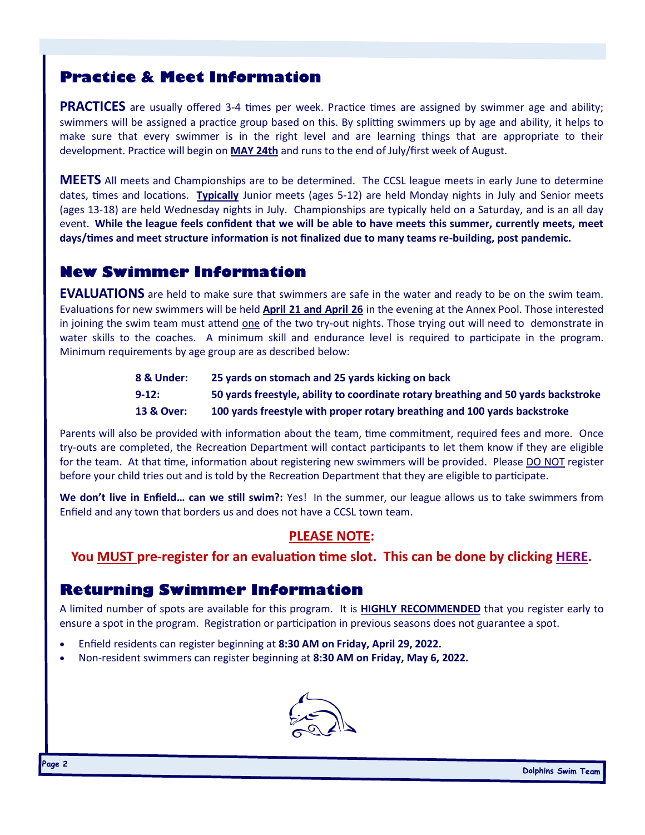## **Practice & Meet Information**

**PRACTICES** are usually offered 3-4 times per week. Practice times are assigned by swimmer age and ability; swimmers will be assigned a practice group based on this. By splitting swimmers up by age and ability, it helps to make sure that every swimmer is in the right level and are learning things that are appropriate to their development. Practice will begin on **MAY 24th** and runs to the end of July/first week of August.

**MEETS** All meets and Championships are to be determined. The CCSL league meets in early June to determine dates, times and locations. **Typically** Junior meets (ages 5-12) are held Monday nights in July and Senior meets (ages 13-18) are held Wednesday nights in July. Championships are typically held on a Saturday, and is an all day event. **While the league feels confident that we will be able to have meets this summer, currently meets, meet days/times and meet structure information is not finalized due to many teams re-building, post pandemic.**

## **New Swimmer Information**

**EVALUATIONS** are held to make sure that swimmers are safe in the water and ready to be on the swim team. Evaluations for new swimmers will be held **April 21 and April 26** in the evening at the Annex Pool. Those interested in joining the swim team must attend one of the two try-out nights. Those trying out will need to demonstrate in water skills to the coaches. A minimum skill and endurance level is required to participate in the program. Minimum requirements by age group are as described below:

| 8 & Under:            | 25 yards on stomach and 25 yards kicking on back                                   |
|-----------------------|------------------------------------------------------------------------------------|
| $9 - 12:$             | 50 yards freestyle, ability to coordinate rotary breathing and 50 yards backstroke |
| <b>13 &amp; Over:</b> | 100 yards freestyle with proper rotary breathing and 100 yards backstroke          |

Parents will also be provided with information about the team, time commitment, required fees and more. Once try-outs are completed, the Recreation Department will contact participants to let them know if they are eligible for the team. At that time, information about registering new swimmers will be provided. Please DO NOT register before your child tries out and is told by the Recreation Department that they are eligible to participate.

**We don't live in Enfield… can we still swim?:** Yes! In the summer, our league allows us to take swimmers from Enfield and any town that borders us and does not have a CCSL town team.

#### **PLEASE NOTE:**

#### **You MUST pre-register for an evaluation time slot. This can be done by clicking [HERE.](https://www.signupgenius.com/go/60B0C4BA4AB2EA0F85-dolphins3)**

## **Returning Swimmer Information**

A limited number of spots are available for this program. It is **HIGHLY RECOMMENDED** that you register early to ensure a spot in the program. Registration or participation in previous seasons does not guarantee a spot.

- Enfield residents can register beginning at **8:30 AM on Friday, April 29, 2022.**
- Non-resident swimmers can register beginning at **8:30 AM on Friday, May 6, 2022.**

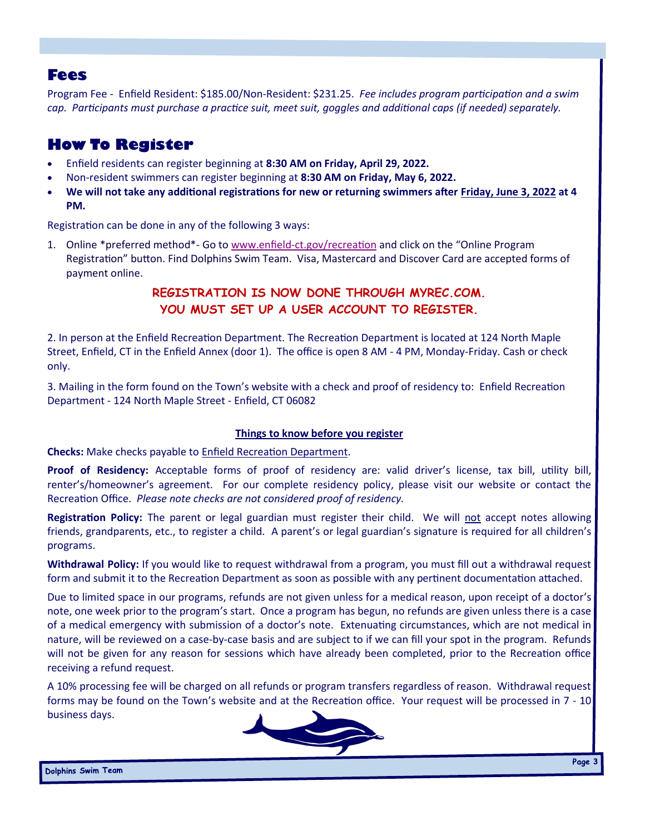### **Fees**

Program Fee - Enfield Resident: \$185.00/Non-Resident: \$231.25. *Fee includes program participation and a swim cap. Participants must purchase a practice suit, meet suit, goggles and additional caps (if needed) separately.*

## **How To Register**

- Enfield residents can register beginning at **8:30 AM on Friday, April 29, 2022.**
- Non-resident swimmers can register beginning at **8:30 AM on Friday, May 6, 2022.**
- **We will not take any additional registrations for new or returning swimmers after Friday, June 3, 2022 at 4 PM.**

Registration can be done in any of the following 3 ways:

1. Online \*preferred method\*- Go to www.enfield-[ct.gov/recreation](http://www.enfield-ct.gov/recreation) and click on the "Online Program Registration" button. Find Dolphins Swim Team. Visa, Mastercard and Discover Card are accepted forms of payment online.

#### **REGISTRATION IS NOW DONE THROUGH MYREC.COM. YOU MUST SET UP A USER ACCOUNT TO REGISTER.**

2. In person at the Enfield Recreation Department. The Recreation Department is located at 124 North Maple Street, Enfield, CT in the Enfield Annex (door 1). The office is open 8 AM - 4 PM, Monday-Friday. Cash or check only.

3. Mailing in the form found on the Town's website with a check and proof of residency to: Enfield Recreation Department - 124 North Maple Street - Enfield, CT 06082

#### **Things to know before you register**

**Checks:** Make checks payable to Enfield Recreation Department.

**Proof of Residency:** Acceptable forms of proof of residency are: valid driver's license, tax bill, utility bill, renter's/homeowner's agreement. For our complete residency policy, please visit our website or contact the Recreation Office. *Please note checks are not considered proof of residency.*

**Registration Policy:** The parent or legal guardian must register their child. We will not accept notes allowing friends, grandparents, etc., to register a child. A parent's or legal guardian's signature is required for all children's programs.

**Withdrawal Policy:** If you would like to request withdrawal from a program, you must fill out a withdrawal request form and submit it to the Recreation Department as soon as possible with any pertinent documentation attached.

Due to limited space in our programs, refunds are not given unless for a medical reason, upon receipt of a doctor's note, one week prior to the program's start. Once a program has begun, no refunds are given unless there is a case of a medical emergency with submission of a doctor's note. Extenuating circumstances, which are not medical in nature, will be reviewed on a case-by-case basis and are subject to if we can fill your spot in the program. Refunds will not be given for any reason for sessions which have already been completed, prior to the Recreation office receiving a refund request.

A 10% processing fee will be charged on all refunds or program transfers regardless of reason. Withdrawal request forms may be found on the Town's website and at the Recreation office. Your request will be processed in 7 - 10 business days.